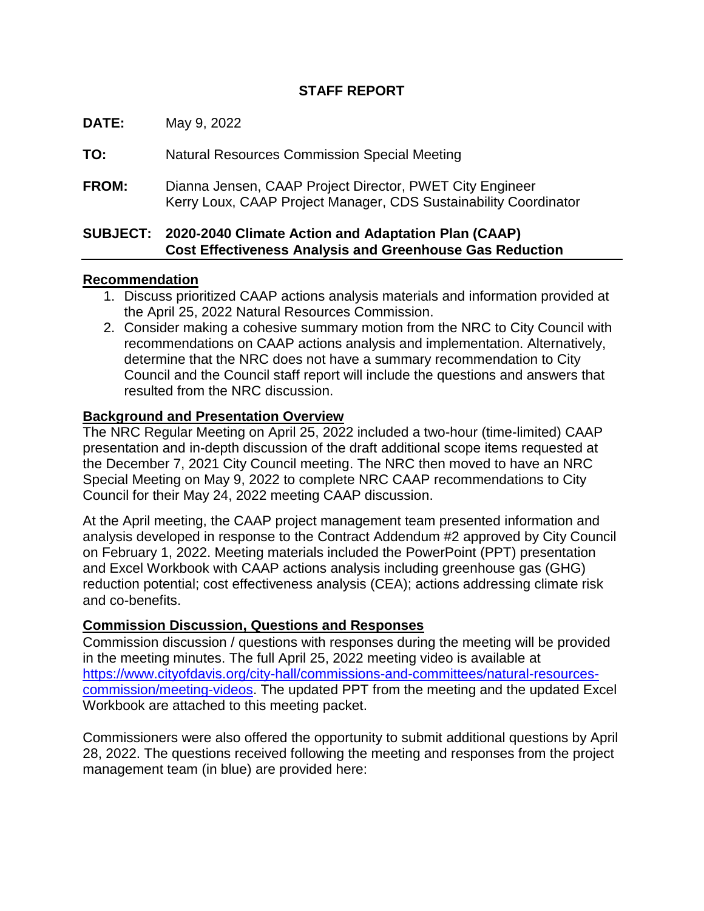# **STAFF REPORT**

**DATE:** May 9, 2022

**TO:** Natural Resources Commission Special Meeting

**FROM:** Dianna Jensen, CAAP Project Director, PWET City Engineer Kerry Loux, CAAP Project Manager, CDS Sustainability Coordinator

# **SUBJECT: 2020-2040 Climate Action and Adaptation Plan (CAAP) Cost Effectiveness Analysis and Greenhouse Gas Reduction**

### **Recommendation**

- 1. Discuss prioritized CAAP actions analysis materials and information provided at the April 25, 2022 Natural Resources Commission.
- 2. Consider making a cohesive summary motion from the NRC to City Council with recommendations on CAAP actions analysis and implementation. Alternatively, determine that the NRC does not have a summary recommendation to City Council and the Council staff report will include the questions and answers that resulted from the NRC discussion.

# **Background and Presentation Overview**

The NRC Regular Meeting on April 25, 2022 included a two-hour (time-limited) CAAP presentation and in-depth discussion of the draft additional scope items requested at the December 7, 2021 City Council meeting. The NRC then moved to have an NRC Special Meeting on May 9, 2022 to complete NRC CAAP recommendations to City Council for their May 24, 2022 meeting CAAP discussion.

At the April meeting, the CAAP project management team presented information and analysis developed in response to the Contract Addendum #2 approved by City Council on February 1, 2022. Meeting materials included the PowerPoint (PPT) presentation and Excel Workbook with CAAP actions analysis including greenhouse gas (GHG) reduction potential; cost effectiveness analysis (CEA); actions addressing climate risk and co-benefits.

### **Commission Discussion, Questions and Responses**

Commission discussion / questions with responses during the meeting will be provided in the meeting minutes. The full April 25, 2022 meeting video is available at [https://www.cityofdavis.org/city-hall/commissions-and-committees/natural-resources](https://www.cityofdavis.org/city-hall/commissions-and-committees/natural-resources-commission/meeting-videos)[commission/meeting-videos.](https://www.cityofdavis.org/city-hall/commissions-and-committees/natural-resources-commission/meeting-videos) The updated PPT from the meeting and the updated Excel Workbook are attached to this meeting packet.

Commissioners were also offered the opportunity to submit additional questions by April 28, 2022. The questions received following the meeting and responses from the project management team (in blue) are provided here: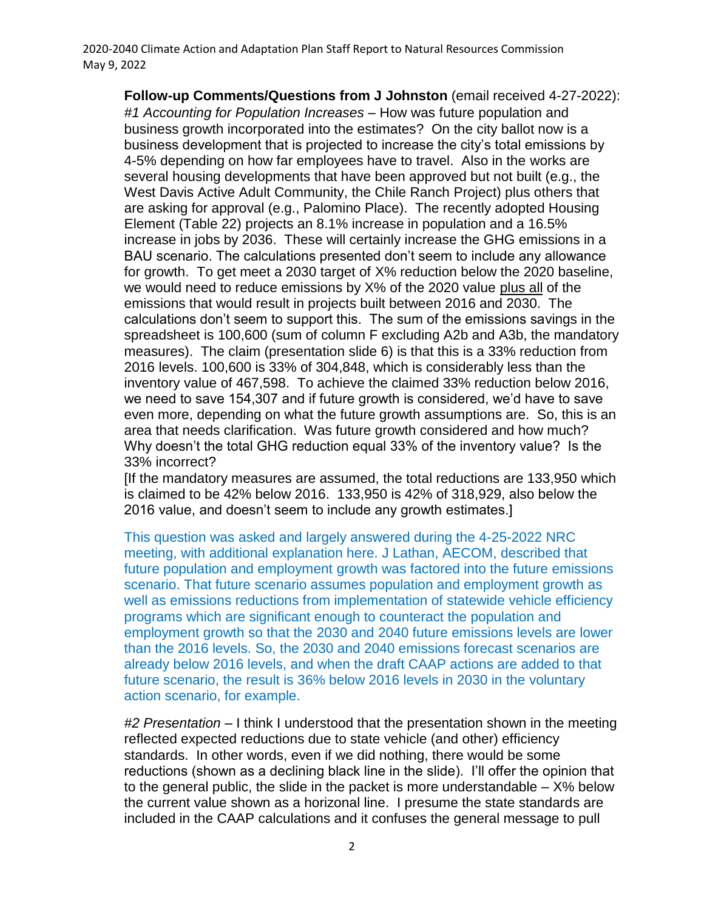**Follow-up Comments/Questions from J Johnston** (email received 4-27-2022): *#1 Accounting for Population Increases* – How was future population and business growth incorporated into the estimates? On the city ballot now is a business development that is projected to increase the city's total emissions by 4-5% depending on how far employees have to travel. Also in the works are several housing developments that have been approved but not built (e.g., the West Davis Active Adult Community, the Chile Ranch Project) plus others that are asking for approval (e.g., Palomino Place). The recently adopted Housing Element (Table 22) projects an 8.1% increase in population and a 16.5% increase in jobs by 2036. These will certainly increase the GHG emissions in a BAU scenario. The calculations presented don't seem to include any allowance for growth. To get meet a 2030 target of X% reduction below the 2020 baseline, we would need to reduce emissions by X% of the 2020 value plus all of the emissions that would result in projects built between 2016 and 2030. The calculations don't seem to support this. The sum of the emissions savings in the spreadsheet is 100,600 (sum of column F excluding A2b and A3b, the mandatory measures). The claim (presentation slide 6) is that this is a 33% reduction from 2016 levels. 100,600 is 33% of 304,848, which is considerably less than the inventory value of 467,598. To achieve the claimed 33% reduction below 2016, we need to save 154,307 and if future growth is considered, we'd have to save even more, depending on what the future growth assumptions are. So, this is an area that needs clarification. Was future growth considered and how much? Why doesn't the total GHG reduction equal 33% of the inventory value? Is the 33% incorrect?

[If the mandatory measures are assumed, the total reductions are 133,950 which is claimed to be 42% below 2016. 133,950 is 42% of 318,929, also below the 2016 value, and doesn't seem to include any growth estimates.]

This question was asked and largely answered during the 4-25-2022 NRC meeting, with additional explanation here. J Lathan, AECOM, described that future population and employment growth was factored into the future emissions scenario. That future scenario assumes population and employment growth as well as emissions reductions from implementation of statewide vehicle efficiency programs which are significant enough to counteract the population and employment growth so that the 2030 and 2040 future emissions levels are lower than the 2016 levels. So, the 2030 and 2040 emissions forecast scenarios are already below 2016 levels, and when the draft CAAP actions are added to that future scenario, the result is 36% below 2016 levels in 2030 in the voluntary action scenario, for example.

*#2 Presentation* – I think I understood that the presentation shown in the meeting reflected expected reductions due to state vehicle (and other) efficiency standards. In other words, even if we did nothing, there would be some reductions (shown as a declining black line in the slide). I'll offer the opinion that to the general public, the slide in the packet is more understandable  $-$  X% below the current value shown as a horizonal line. I presume the state standards are included in the CAAP calculations and it confuses the general message to pull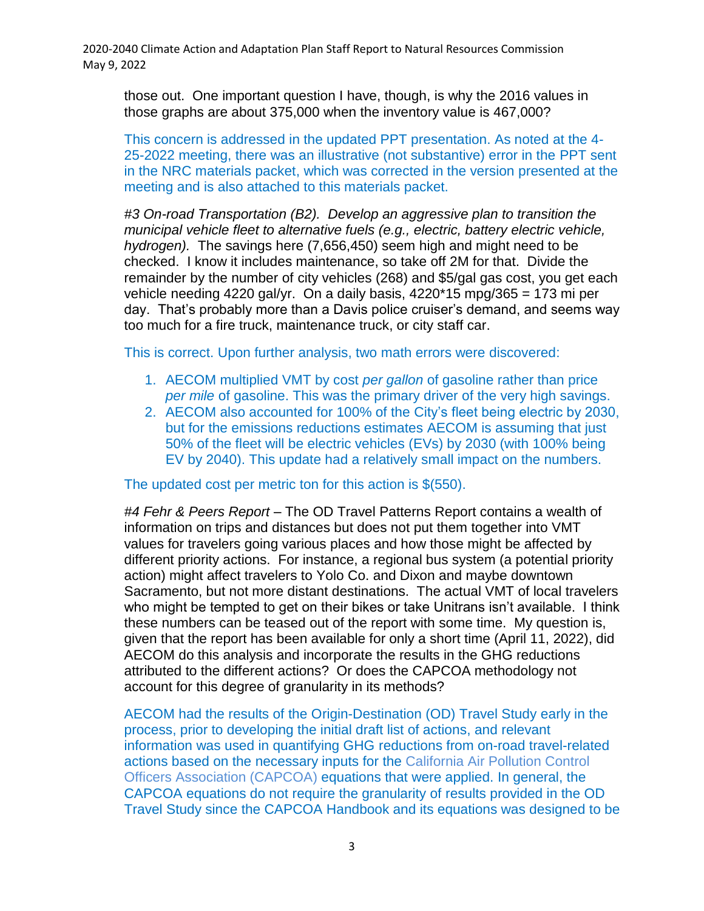those out. One important question I have, though, is why the 2016 values in those graphs are about 375,000 when the inventory value is 467,000?

This concern is addressed in the updated PPT presentation. As noted at the 4- 25-2022 meeting, there was an illustrative (not substantive) error in the PPT sent in the NRC materials packet, which was corrected in the version presented at the meeting and is also attached to this materials packet.

*#3 On-road Transportation (B2). Develop an aggressive plan to transition the municipal vehicle fleet to alternative fuels (e.g., electric, battery electric vehicle, hydrogen).* The savings here (7,656,450) seem high and might need to be checked. I know it includes maintenance, so take off 2M for that. Divide the remainder by the number of city vehicles (268) and \$5/gal gas cost, you get each vehicle needing 4220 gal/yr. On a daily basis,  $4220*15$  mpg/365 = 173 mi per day. That's probably more than a Davis police cruiser's demand, and seems way too much for a fire truck, maintenance truck, or city staff car.

This is correct. Upon further analysis, two math errors were discovered:

- 1. AECOM multiplied VMT by cost *per gallon* of gasoline rather than price *per mile* of gasoline. This was the primary driver of the very high savings.
- 2. AECOM also accounted for 100% of the City's fleet being electric by 2030, but for the emissions reductions estimates AECOM is assuming that just 50% of the fleet will be electric vehicles (EVs) by 2030 (with 100% being EV by 2040). This update had a relatively small impact on the numbers.

The updated cost per metric ton for this action is \$(550).

*#4 Fehr & Peers Report* – The OD Travel Patterns Report contains a wealth of information on trips and distances but does not put them together into VMT values for travelers going various places and how those might be affected by different priority actions. For instance, a regional bus system (a potential priority action) might affect travelers to Yolo Co. and Dixon and maybe downtown Sacramento, but not more distant destinations. The actual VMT of local travelers who might be tempted to get on their bikes or take Unitrans isn't available. I think these numbers can be teased out of the report with some time. My question is, given that the report has been available for only a short time (April 11, 2022), did AECOM do this analysis and incorporate the results in the GHG reductions attributed to the different actions? Or does the CAPCOA methodology not account for this degree of granularity in its methods?

AECOM had the results of the Origin-Destination (OD) Travel Study early in the process, prior to developing the initial draft list of actions, and relevant information was used in quantifying GHG reductions from on-road travel-related actions based on the necessary inputs for the California Air Pollution Control Officers Association (CAPCOA) equations that were applied. In general, the CAPCOA equations do not require the granularity of results provided in the OD Travel Study since the CAPCOA Handbook and its equations was designed to be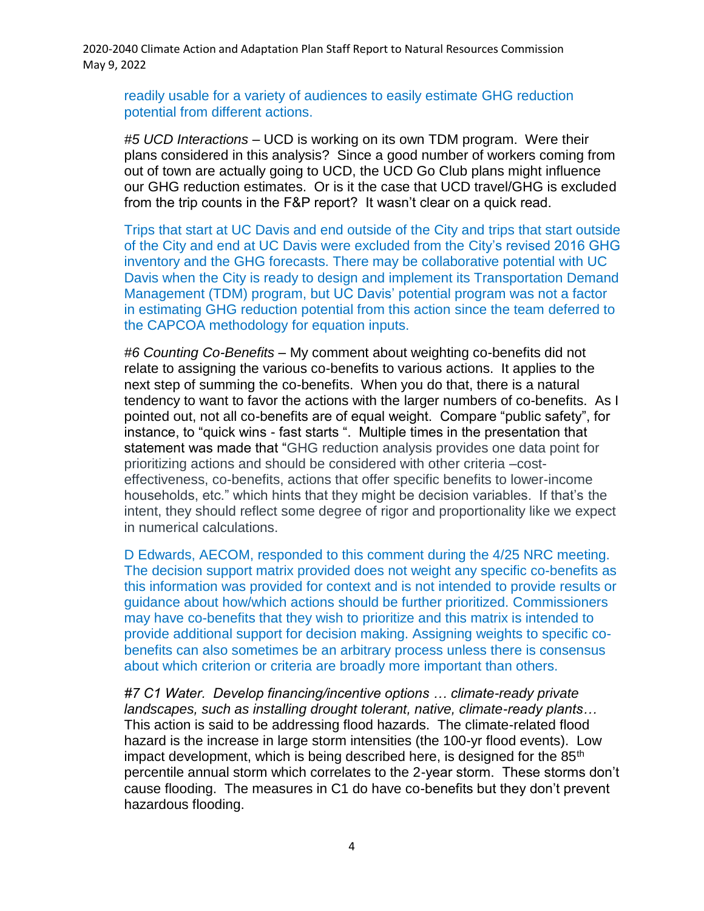readily usable for a variety of audiences to easily estimate GHG reduction potential from different actions.

*#5 UCD Interactions –* UCD is working on its own TDM program. Were their plans considered in this analysis? Since a good number of workers coming from out of town are actually going to UCD, the UCD Go Club plans might influence our GHG reduction estimates. Or is it the case that UCD travel/GHG is excluded from the trip counts in the F&P report? It wasn't clear on a quick read.

Trips that start at UC Davis and end outside of the City and trips that start outside of the City and end at UC Davis were excluded from the City's revised 2016 GHG inventory and the GHG forecasts. There may be collaborative potential with UC Davis when the City is ready to design and implement its Transportation Demand Management (TDM) program, but UC Davis' potential program was not a factor in estimating GHG reduction potential from this action since the team deferred to the CAPCOA methodology for equation inputs.

*#6 Counting Co-Benefits* – My comment about weighting co-benefits did not relate to assigning the various co-benefits to various actions. It applies to the next step of summing the co-benefits. When you do that, there is a natural tendency to want to favor the actions with the larger numbers of co-benefits. As I pointed out, not all co-benefits are of equal weight. Compare "public safety", for instance, to "quick wins - fast starts ". Multiple times in the presentation that statement was made that "GHG reduction analysis provides one data point for prioritizing actions and should be considered with other criteria –costeffectiveness, co-benefits, actions that offer specific benefits to lower-income households, etc." which hints that they might be decision variables. If that's the intent, they should reflect some degree of rigor and proportionality like we expect in numerical calculations.

D Edwards, AECOM, responded to this comment during the 4/25 NRC meeting. The decision support matrix provided does not weight any specific co-benefits as this information was provided for context and is not intended to provide results or guidance about how/which actions should be further prioritized. Commissioners may have co-benefits that they wish to prioritize and this matrix is intended to provide additional support for decision making. Assigning weights to specific cobenefits can also sometimes be an arbitrary process unless there is consensus about which criterion or criteria are broadly more important than others.

*#7 C1 Water. Develop financing/incentive options … climate-ready private landscapes, such as installing drought tolerant, native, climate-ready plants…*  This action is said to be addressing flood hazards. The climate-related flood hazard is the increase in large storm intensities (the 100-yr flood events). Low impact development, which is being described here, is designed for the 85<sup>th</sup> percentile annual storm which correlates to the 2-year storm. These storms don't cause flooding. The measures in C1 do have co-benefits but they don't prevent hazardous flooding.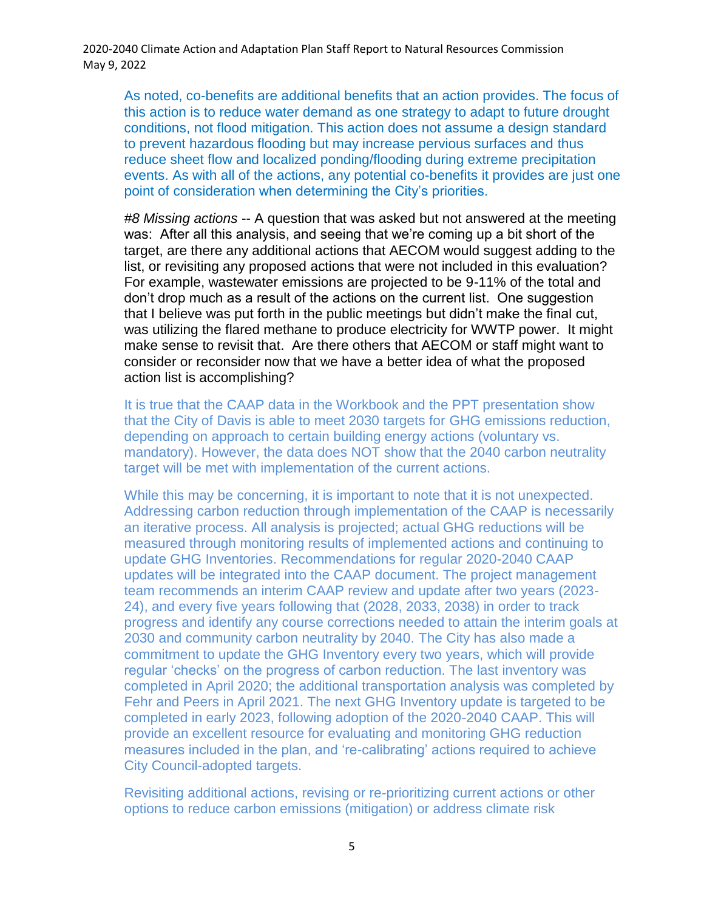As noted, co-benefits are additional benefits that an action provides. The focus of this action is to reduce water demand as one strategy to adapt to future drought conditions, not flood mitigation. This action does not assume a design standard to prevent hazardous flooding but may increase pervious surfaces and thus reduce sheet flow and localized ponding/flooding during extreme precipitation events. As with all of the actions, any potential co-benefits it provides are just one point of consideration when determining the City's priorities.

*#8 Missing actions* -- A question that was asked but not answered at the meeting was: After all this analysis, and seeing that we're coming up a bit short of the target, are there any additional actions that AECOM would suggest adding to the list, or revisiting any proposed actions that were not included in this evaluation? For example, wastewater emissions are projected to be 9-11% of the total and don't drop much as a result of the actions on the current list. One suggestion that I believe was put forth in the public meetings but didn't make the final cut, was utilizing the flared methane to produce electricity for WWTP power. It might make sense to revisit that. Are there others that AECOM or staff might want to consider or reconsider now that we have a better idea of what the proposed action list is accomplishing?

It is true that the CAAP data in the Workbook and the PPT presentation show that the City of Davis is able to meet 2030 targets for GHG emissions reduction, depending on approach to certain building energy actions (voluntary vs. mandatory). However, the data does NOT show that the 2040 carbon neutrality target will be met with implementation of the current actions.

While this may be concerning, it is important to note that it is not unexpected. Addressing carbon reduction through implementation of the CAAP is necessarily an iterative process. All analysis is projected; actual GHG reductions will be measured through monitoring results of implemented actions and continuing to update GHG Inventories. Recommendations for regular 2020-2040 CAAP updates will be integrated into the CAAP document. The project management team recommends an interim CAAP review and update after two years (2023- 24), and every five years following that (2028, 2033, 2038) in order to track progress and identify any course corrections needed to attain the interim goals at 2030 and community carbon neutrality by 2040. The City has also made a commitment to update the GHG Inventory every two years, which will provide regular 'checks' on the progress of carbon reduction. The last inventory was completed in April 2020; the additional transportation analysis was completed by Fehr and Peers in April 2021. The next GHG Inventory update is targeted to be completed in early 2023, following adoption of the 2020-2040 CAAP. This will provide an excellent resource for evaluating and monitoring GHG reduction measures included in the plan, and 're-calibrating' actions required to achieve City Council-adopted targets.

Revisiting additional actions, revising or re-prioritizing current actions or other options to reduce carbon emissions (mitigation) or address climate risk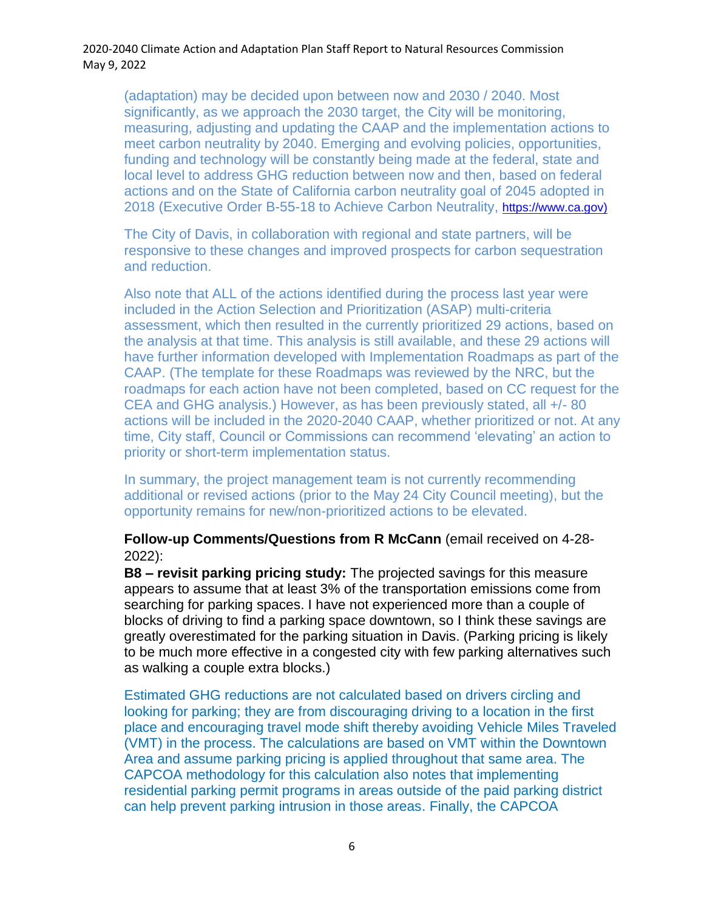(adaptation) may be decided upon between now and 2030 / 2040. Most significantly, as we approach the 2030 target, the City will be monitoring, measuring, adjusting and updating the CAAP and the implementation actions to meet carbon neutrality by 2040. Emerging and evolving policies, opportunities, funding and technology will be constantly being made at the federal, state and local level to address GHG reduction between now and then, based on federal actions and on the State of California carbon neutrality goal of 2045 adopted in 2018 (Executive Order B-55-18 to Achieve Carbon Neutrality, [https://www.ca.gov\)](https://www.ca.gov)/)

The City of Davis, in collaboration with regional and state partners, will be responsive to these changes and improved prospects for carbon sequestration and reduction.

Also note that ALL of the actions identified during the process last year were included in the Action Selection and Prioritization (ASAP) multi-criteria assessment, which then resulted in the currently prioritized 29 actions, based on the analysis at that time. This analysis is still available, and these 29 actions will have further information developed with Implementation Roadmaps as part of the CAAP. (The template for these Roadmaps was reviewed by the NRC, but the roadmaps for each action have not been completed, based on CC request for the CEA and GHG analysis.) However, as has been previously stated, all +/- 80 actions will be included in the 2020-2040 CAAP, whether prioritized or not. At any time, City staff, Council or Commissions can recommend 'elevating' an action to priority or short-term implementation status.

In summary, the project management team is not currently recommending additional or revised actions (prior to the May 24 City Council meeting), but the opportunity remains for new/non-prioritized actions to be elevated.

### **Follow-up Comments/Questions from R McCann** (email received on 4-28- 2022):

**B8 – revisit parking pricing study:** The projected savings for this measure appears to assume that at least 3% of the transportation emissions come from searching for parking spaces. I have not experienced more than a couple of blocks of driving to find a parking space downtown, so I think these savings are greatly overestimated for the parking situation in Davis. (Parking pricing is likely to be much more effective in a congested city with few parking alternatives such as walking a couple extra blocks.)

Estimated GHG reductions are not calculated based on drivers circling and looking for parking; they are from discouraging driving to a location in the first place and encouraging travel mode shift thereby avoiding Vehicle Miles Traveled (VMT) in the process. The calculations are based on VMT within the Downtown Area and assume parking pricing is applied throughout that same area. The CAPCOA methodology for this calculation also notes that implementing residential parking permit programs in areas outside of the paid parking district can help prevent parking intrusion in those areas. Finally, the CAPCOA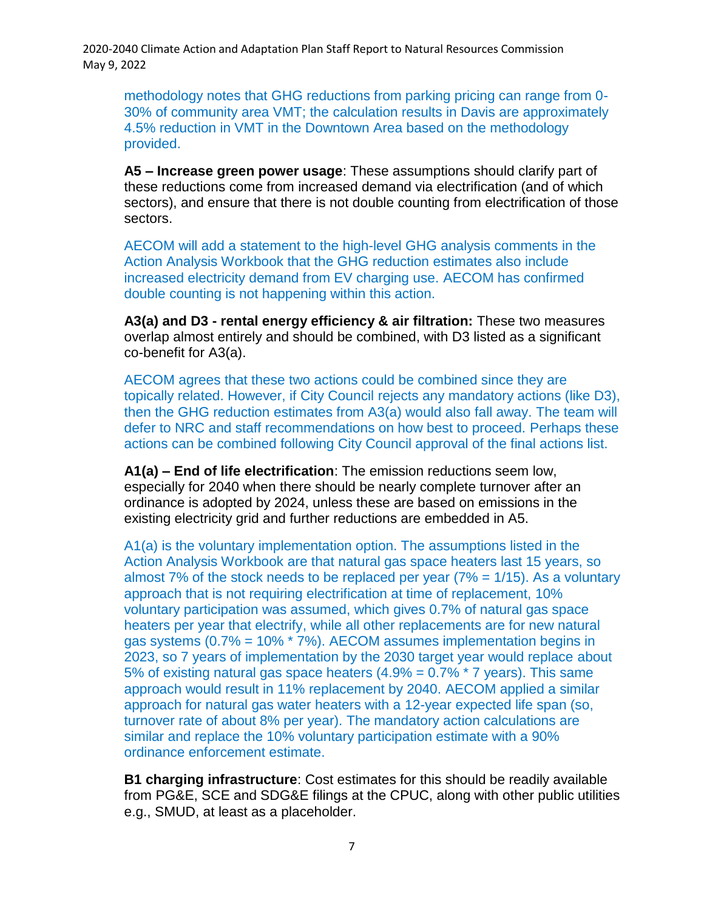methodology notes that GHG reductions from parking pricing can range from 0- 30% of community area VMT; the calculation results in Davis are approximately 4.5% reduction in VMT in the Downtown Area based on the methodology provided.

**A5 – Increase green power usage**: These assumptions should clarify part of these reductions come from increased demand via electrification (and of which sectors), and ensure that there is not double counting from electrification of those sectors.

AECOM will add a statement to the high-level GHG analysis comments in the Action Analysis Workbook that the GHG reduction estimates also include increased electricity demand from EV charging use. AECOM has confirmed double counting is not happening within this action.

**A3(a) and D3 - rental energy efficiency & air filtration:** These two measures overlap almost entirely and should be combined, with D3 listed as a significant co-benefit for A3(a).

AECOM agrees that these two actions could be combined since they are topically related. However, if City Council rejects any mandatory actions (like D3), then the GHG reduction estimates from A3(a) would also fall away. The team will defer to NRC and staff recommendations on how best to proceed. Perhaps these actions can be combined following City Council approval of the final actions list.

**A1(a) – End of life electrification**: The emission reductions seem low, especially for 2040 when there should be nearly complete turnover after an ordinance is adopted by 2024, unless these are based on emissions in the existing electricity grid and further reductions are embedded in A5.

A1(a) is the voluntary implementation option. The assumptions listed in the Action Analysis Workbook are that natural gas space heaters last 15 years, so almost 7% of the stock needs to be replaced per year  $(7\% = 1/15)$ . As a voluntary approach that is not requiring electrification at time of replacement, 10% voluntary participation was assumed, which gives 0.7% of natural gas space heaters per year that electrify, while all other replacements are for new natural gas systems (0.7% = 10% \* 7%). AECOM assumes implementation begins in 2023, so 7 years of implementation by the 2030 target year would replace about 5% of existing natural gas space heaters  $(4.9% = 0.7% * 7$  years). This same approach would result in 11% replacement by 2040. AECOM applied a similar approach for natural gas water heaters with a 12-year expected life span (so, turnover rate of about 8% per year). The mandatory action calculations are similar and replace the 10% voluntary participation estimate with a 90% ordinance enforcement estimate.

**B1 charging infrastructure**: Cost estimates for this should be readily available from PG&E, SCE and SDG&E filings at the CPUC, along with other public utilities e.g., SMUD, at least as a placeholder.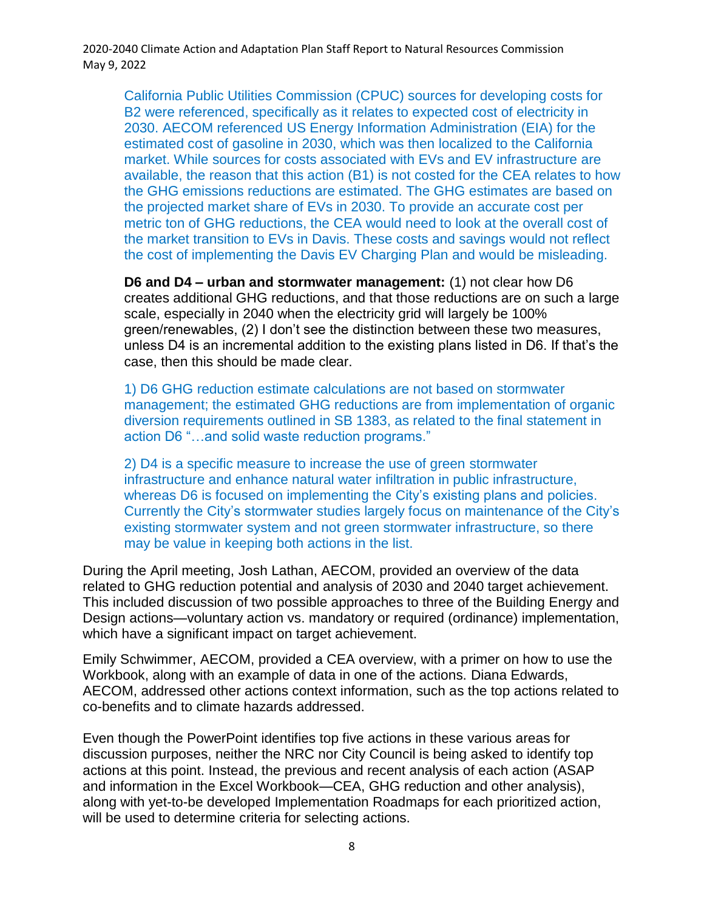California Public Utilities Commission (CPUC) sources for developing costs for B2 were referenced, specifically as it relates to expected cost of electricity in 2030. AECOM referenced US Energy Information Administration (EIA) for the estimated cost of gasoline in 2030, which was then localized to the California market. While sources for costs associated with EVs and EV infrastructure are available, the reason that this action (B1) is not costed for the CEA relates to how the GHG emissions reductions are estimated. The GHG estimates are based on the projected market share of EVs in 2030. To provide an accurate cost per metric ton of GHG reductions, the CEA would need to look at the overall cost of the market transition to EVs in Davis. These costs and savings would not reflect the cost of implementing the Davis EV Charging Plan and would be misleading.

**D6 and D4 – urban and stormwater management:** (1) not clear how D6 creates additional GHG reductions, and that those reductions are on such a large scale, especially in 2040 when the electricity grid will largely be 100% green/renewables, (2) I don't see the distinction between these two measures, unless D4 is an incremental addition to the existing plans listed in D6. If that's the case, then this should be made clear.

1) D6 GHG reduction estimate calculations are not based on stormwater management; the estimated GHG reductions are from implementation of organic diversion requirements outlined in SB 1383, as related to the final statement in action D6 "…and solid waste reduction programs."

2) D4 is a specific measure to increase the use of green stormwater infrastructure and enhance natural water infiltration in public infrastructure, whereas D6 is focused on implementing the City's existing plans and policies. Currently the City's stormwater studies largely focus on maintenance of the City's existing stormwater system and not green stormwater infrastructure, so there may be value in keeping both actions in the list.

During the April meeting, Josh Lathan, AECOM, provided an overview of the data related to GHG reduction potential and analysis of 2030 and 2040 target achievement. This included discussion of two possible approaches to three of the Building Energy and Design actions—voluntary action vs. mandatory or required (ordinance) implementation, which have a significant impact on target achievement.

Emily Schwimmer, AECOM, provided a CEA overview, with a primer on how to use the Workbook, along with an example of data in one of the actions. Diana Edwards, AECOM, addressed other actions context information, such as the top actions related to co-benefits and to climate hazards addressed.

Even though the PowerPoint identifies top five actions in these various areas for discussion purposes, neither the NRC nor City Council is being asked to identify top actions at this point. Instead, the previous and recent analysis of each action (ASAP and information in the Excel Workbook—CEA, GHG reduction and other analysis), along with yet-to-be developed Implementation Roadmaps for each prioritized action, will be used to determine criteria for selecting actions.